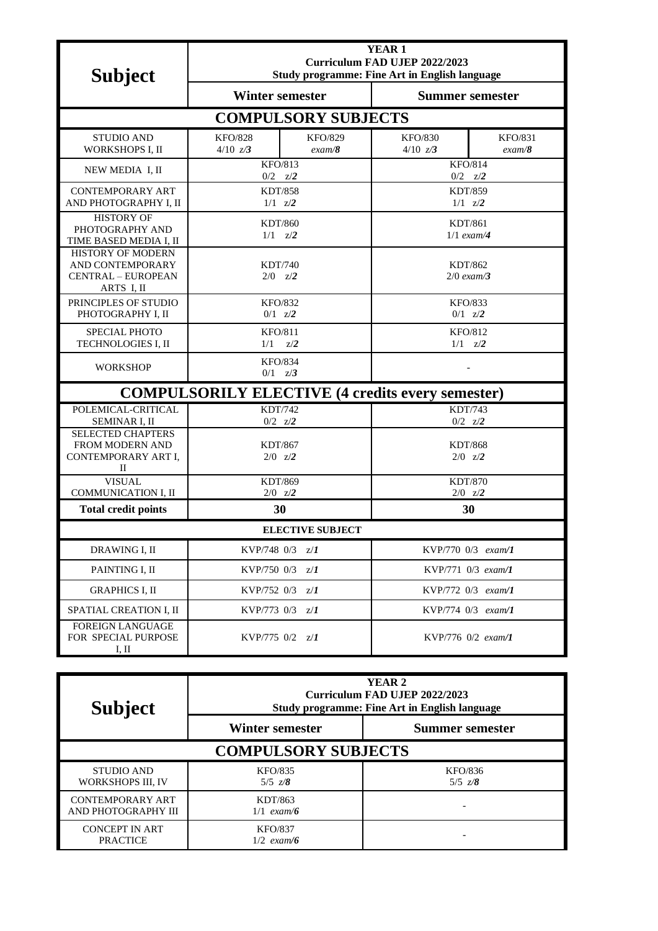| <b>Subject</b>                                                                          | <b>YEAR1</b><br>Curriculum FAD UJEP 2022/2023<br><b>Study programme: Fine Art in English language</b> |                          |                                   |                          |  |  |
|-----------------------------------------------------------------------------------------|-------------------------------------------------------------------------------------------------------|--------------------------|-----------------------------------|--------------------------|--|--|
| <b>Winter semester</b>                                                                  |                                                                                                       |                          | <b>Summer semester</b>            |                          |  |  |
| <b>COMPULSORY SUBJECTS</b>                                                              |                                                                                                       |                          |                                   |                          |  |  |
| <b>STUDIO AND</b><br>WORKSHOPS I, II                                                    | <b>KFO/828</b><br>4/10 z/3                                                                            | <b>KFO/829</b><br>exam/8 | <b>KFO/830</b><br>4/10 z/3        | <b>KFO/831</b><br>exam/8 |  |  |
| NEW MEDIA I, II                                                                         | <b>KFO/813</b><br>$0/2$ $z/2$                                                                         |                          | <b>KFO/814</b><br>$0/2$ $z/2$     |                          |  |  |
| <b>CONTEMPORARY ART</b><br>AND PHOTOGRAPHY I, II                                        | <b>KDT/858</b><br>$1/1 \quad Z/2$                                                                     |                          | <b>KDT/859</b><br>$1/1 \quad z/2$ |                          |  |  |
| <b>HISTORY OF</b><br>PHOTOGRAPHY AND<br>TIME BASED MEDIA I, II                          | <b>KDT/860</b><br>$1/1 \quad z/2$                                                                     |                          | KDT/861<br>$1/1$ exam/4           |                          |  |  |
| <b>HISTORY OF MODERN</b><br>AND CONTEMPORARY<br><b>CENTRAL - EUROPEAN</b><br>ARTS I, II | <b>KDT/740</b><br>$2/0$ $z/2$                                                                         |                          | <b>KDT/862</b><br>$2/0$ exam/3    |                          |  |  |
| PRINCIPLES OF STUDIO<br>PHOTOGRAPHY I, II                                               | <b>KFO/832</b><br>$0/1$ $z/2$                                                                         |                          | <b>KFO/833</b><br>$0/1$ $z/2$     |                          |  |  |
| SPECIAL PHOTO<br>TECHNOLOGIES I, II                                                     | <b>KFO/811</b><br>1/1<br>Z/2                                                                          |                          | <b>KFO/812</b><br>$1/1 \quad z/2$ |                          |  |  |
| <b>WORKSHOP</b>                                                                         | <b>KFO/834</b><br>$0/1$ $z/3$                                                                         |                          |                                   |                          |  |  |
|                                                                                         | <b>COMPULSORILY ELECTIVE (4 credits every semester)</b>                                               |                          |                                   |                          |  |  |
| POLEMICAL-CRITICAL<br>SEMINAR I, II                                                     | <b>KDT/742</b><br>$0/2$ $z/2$                                                                         |                          | <b>KDT/743</b><br>$0/2$ $z/2$     |                          |  |  |
| <b>SELECTED CHAPTERS</b><br>FROM MODERN AND<br>CONTEMPORARY ART I,<br>П                 | <b>KDT/867</b><br>$2/0$ $z/2$                                                                         |                          | <b>KDT/868</b><br>$2/0$ $z/2$     |                          |  |  |
| <b>VISUAL</b><br>COMMUNICATION I, II                                                    | KDT/869<br>$2/0$ $z/2$                                                                                |                          | <b>KDT/870</b><br>$2/0$ $z/2$     |                          |  |  |
| <b>Total credit points</b>                                                              | 30                                                                                                    |                          | 30                                |                          |  |  |
| <b>ELECTIVE SUBJECT</b>                                                                 |                                                                                                       |                          |                                   |                          |  |  |
| DRAWING I, II                                                                           | KVP/748 $0/3$ $z/I$                                                                                   |                          | KVP/770 0/3 exam/1                |                          |  |  |
| PAINTING I, II                                                                          | KVP/750 $0/3$ $z/I$                                                                                   |                          | $KVP/771$ 0/3 exam/1              |                          |  |  |
| <b>GRAPHICS I. II</b>                                                                   | KVP/752 $0/3$ $z/I$                                                                                   |                          | $KVP/772 \t0/3$ exam/1            |                          |  |  |
| SPATIAL CREATION I, II                                                                  | KVP/773 $0/3$ $z/I$                                                                                   |                          | $KVP/774 \t0/3$ exam/1            |                          |  |  |
| <b>FOREIGN LANGUAGE</b><br>FOR SPECIAL PURPOSE<br>I, II                                 | KVP/775 0/2 z/1                                                                                       |                          | KVP/776 $0/2$ exam/1              |                          |  |  |

| <b>Subject</b>                                 | YEAR <sub>2</sub><br>Curriculum FAD UJEP 2022/2023<br><b>Study programme: Fine Art in English language</b> |                         |  |  |  |
|------------------------------------------------|------------------------------------------------------------------------------------------------------------|-------------------------|--|--|--|
|                                                | <b>Winter semester</b>                                                                                     | <b>Summer semester</b>  |  |  |  |
| <b>COMPULSORY SUBJECTS</b>                     |                                                                                                            |                         |  |  |  |
| <b>STUDIO AND</b><br>WORKSHOPS III, IV         | <b>KFO/835</b><br>$5/5$ $z/8$                                                                              | KFO/836<br>$5/5 \; z/8$ |  |  |  |
| <b>CONTEMPORARY ART</b><br>AND PHOTOGRAPHY III | KDT/863<br>$1/1$ exam/6                                                                                    |                         |  |  |  |
| <b>CONCEPT IN ART</b><br><b>PRACTICE</b>       | <b>KFO/837</b><br>$1/2$ exam/6                                                                             |                         |  |  |  |